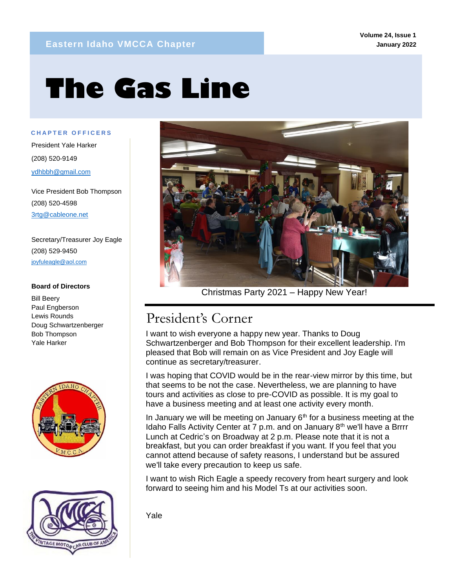# **The Gas Line**

**C H A P T E R O F F I C E R S**

mm

President Yale Harker (208) 520-9149 ydhbbh@gmail.com

Vice President Bob Thompson (208) 520-4598 3rtg@cableone.net

Secretary/Treasurer Joy Eagle (208) 529-9450 joyfuleagle@aol.com

#### **Board of Directors**

Bill Beery Paul Engberson Lewis Rounds Doug Schwartzenberger Bob Thompson Yale Harker







Christmas Party 2021 – Happy New Year!

### President's Corner

I want to wish everyone a happy new year. Thanks to Doug Schwartzenberger and Bob Thompson for their excellent leadership. I'm pleased that Bob will remain on as Vice President and Joy Eagle will continue as secretary/treasurer.

I was hoping that COVID would be in the rear-view mirror by this time, but that seems to be not the case. Nevertheless, we are planning to have tours and activities as close to pre-COVID as possible. It is my goal to have a business meeting and at least one activity every month.

In January we will be meeting on January  $6<sup>th</sup>$  for a business meeting at the Idaho Falls Activity Center at 7 p.m. and on January 8<sup>th</sup> we'll have a Brrrr Lunch at Cedric's on Broadway at 2 p.m. Please note that it is not a breakfast, but you can order breakfast if you want. If you feel that you cannot attend because of safety reasons, I understand but be assured we'll take every precaution to keep us safe.

I want to wish Rich Eagle a speedy recovery from heart surgery and look forward to seeing him and his Model Ts at our activities soon.

Yale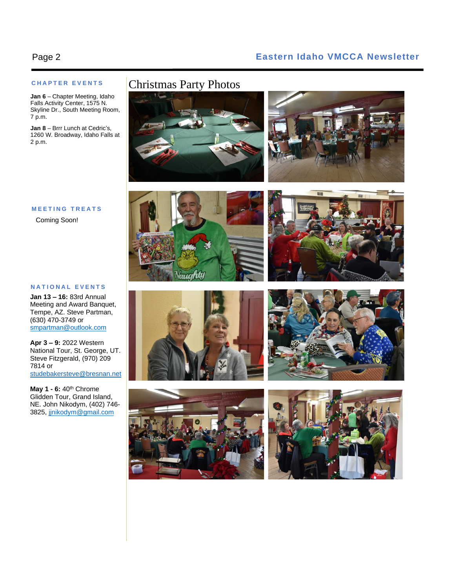#### Page 2 **Eastern Idaho VMCCA Newsletter**

#### **C H A P T E R E V E N T S**

**Jan 6** – Chapter Meeting, Idaho Falls Activity Center, 1575 N. Skyline Dr., South Meeting Room, 7 p.m.

**Jan 8** – Brrr Lunch at Cedric's, 1260 W. Broadway, Idaho Falls at 2 p.m.

### Christmas Party Photos





#### **M E E T I N G T R E A T S**

Coming Soon!

#### **N A T I O N A L E V E N T S**

**Jan 13 – 16:** 83rd Annual Meeting and Award Banquet, Tempe, AZ. Steve Partman, (630) 470-3749 or [smpartman@outlook.com](mailto:smpartman@outlook.com)

**Apr 3 – 9:** 2022 Western National Tour, St. George, UT. Steve Fitzgerald, (970) 209 7814 or [studebakersteve@bresnan.net](mailto:studebakersteve@bresnan.net)

**May 1 - 6:** 40th Chrome Glidden Tour, Grand Island, NE. John Nikodym, (402) 746- 3825[, jjnikodym@gmail.com](mailto:jjnikodym@gmail.com)











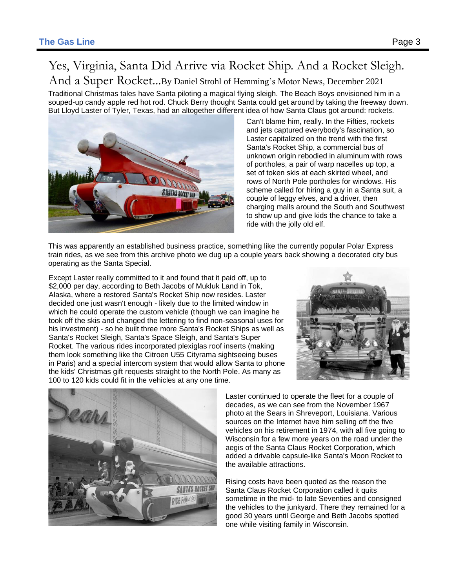## Yes, Virginia, Santa Did Arrive via Rocket Ship. And a Rocket Sleigh.

And a Super Rocket...By Daniel Strohl of Hemming's Motor News, December <sup>2021</sup>

Traditional Christmas tales have Santa piloting a magical flying sleigh. The Beach Boys envisioned him in a souped-up candy apple red hot rod. Chuck Berry thought Santa could get around by taking the freeway down. But Lloyd Laster of Tyler, Texas, had an altogether different idea of how Santa Claus got around: rockets.



Can't blame him, really. In the Fifties, rockets and jets captured everybody's fascination, so Laster capitalized on the trend with the first Santa's Rocket Ship, a commercial bus of unknown origin rebodied in aluminum with rows of portholes, a pair of warp nacelles up top, a set of token skis at each skirted wheel, and rows of North Pole portholes for windows. His scheme called for hiring a guy in a Santa suit, a couple of leggy elves, and a driver, then charging malls around the South and Southwest to show up and give kids the chance to take a ride with the jolly old elf.

This was apparently an established business practice, something like the currently popular Polar Express train rides, as we see from this archive photo we dug up a couple years back showing a decorated city bus operating as the Santa Special.

Except Laster really committed to it and found that it paid off, up to \$2,000 per day, according to Beth Jacobs of Mukluk Land in Tok, Alaska, where a restored Santa's Rocket Ship now resides. Laster decided one just wasn't enough - likely due to the limited window in which he could operate the custom vehicle (though we can imagine he took off the skis and changed the lettering to find non-seasonal uses for his investment) - so he built three more Santa's Rocket Ships as well as Santa's Rocket Sleigh, Santa's Space Sleigh, and Santa's Super Rocket. The various rides incorporated plexiglas roof inserts (making them look something like the Citroen U55 Cityrama sightseeing buses in Paris) and a special intercom system that would allow Santa to phone the kids' Christmas gift requests straight to the North Pole. As many as 100 to 120 kids could fit in the vehicles at any one time.





Laster continued to operate the fleet for a couple of decades, as we can see from the November 1967 photo at the Sears in Shreveport, Louisiana. Various sources on the Internet have him selling off the five vehicles on his retirement in 1974, with all five going to Wisconsin for a few more years on the road under the aegis of the Santa Claus Rocket Corporation, which added a drivable capsule-like Santa's Moon Rocket to the available attractions.

Rising costs have been quoted as the reason the Santa Claus Rocket Corporation called it quits sometime in the mid- to late Seventies and consigned the vehicles to the junkyard. There they remained for a good 30 years until George and Beth Jacobs spotted one while visiting family in Wisconsin.